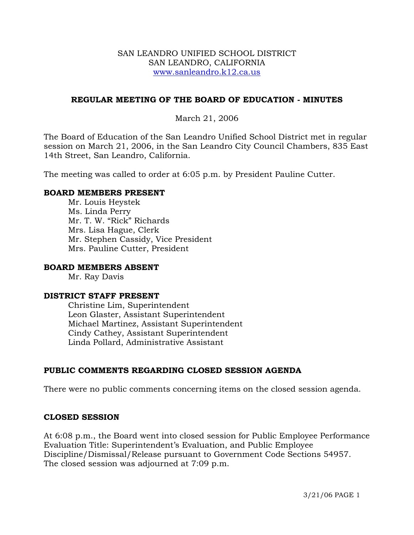#### SAN LEANDRO UNIFIED SCHOOL DISTRICT SAN LEANDRO, CALIFORNIA www.sanleandro.k12.ca.us

## **REGULAR MEETING OF THE BOARD OF EDUCATION - MINUTES**

### March 21, 2006

The Board of Education of the San Leandro Unified School District met in regular session on March 21, 2006, in the San Leandro City Council Chambers, 835 East 14th Street, San Leandro, California.

The meeting was called to order at 6:05 p.m. by President Pauline Cutter.

#### **BOARD MEMBERS PRESENT**

Mr. Louis Heystek Ms. Linda Perry Mr. T. W. "Rick" Richards Mrs. Lisa Hague, Clerk Mr. Stephen Cassidy, Vice President Mrs. Pauline Cutter, President

#### **BOARD MEMBERS ABSENT**

Mr. Ray Davis

#### **DISTRICT STAFF PRESENT**

Christine Lim, Superintendent Leon Glaster, Assistant Superintendent Michael Martinez, Assistant Superintendent Cindy Cathey, Assistant Superintendent Linda Pollard, Administrative Assistant

## **PUBLIC COMMENTS REGARDING CLOSED SESSION AGENDA**

There were no public comments concerning items on the closed session agenda.

#### **CLOSED SESSION**

At 6:08 p.m., the Board went into closed session for Public Employee Performance Evaluation Title: Superintendent's Evaluation, and Public Employee Discipline/Dismissal/Release pursuant to Government Code Sections 54957. The closed session was adjourned at 7:09 p.m.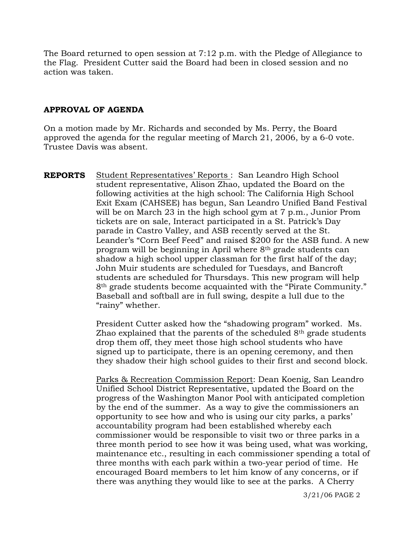The Board returned to open session at 7:12 p.m. with the Pledge of Allegiance to the Flag. President Cutter said the Board had been in closed session and no action was taken.

#### **APPROVAL OF AGENDA**

On a motion made by Mr. Richards and seconded by Ms. Perry, the Board approved the agenda for the regular meeting of March 21, 2006, by a 6-0 vote. Trustee Davis was absent.

**REPORTS** Student Representatives' Reports : San Leandro High School student representative, Alison Zhao, updated the Board on the following activities at the high school: The California High School Exit Exam (CAHSEE) has begun, San Leandro Unified Band Festival will be on March 23 in the high school gym at 7 p.m., Junior Prom tickets are on sale, Interact participated in a St. Patrick's Day parade in Castro Valley, and ASB recently served at the St. Leander's "Corn Beef Feed" and raised \$200 for the ASB fund. A new program will be beginning in April where 8th grade students can shadow a high school upper classman for the first half of the day; John Muir students are scheduled for Tuesdays, and Bancroft students are scheduled for Thursdays. This new program will help 8th grade students become acquainted with the "Pirate Community." Baseball and softball are in full swing, despite a lull due to the "rainy" whether.

> President Cutter asked how the "shadowing program" worked. Ms. Zhao explained that the parents of the scheduled 8th grade students drop them off, they meet those high school students who have signed up to participate, there is an opening ceremony, and then they shadow their high school guides to their first and second block.

Parks & Recreation Commission Report: Dean Koenig, San Leandro Unified School District Representative, updated the Board on the progress of the Washington Manor Pool with anticipated completion by the end of the summer. As a way to give the commissioners an opportunity to see how and who is using our city parks, a parks' accountability program had been established whereby each commissioner would be responsible to visit two or three parks in a three month period to see how it was being used, what was working, maintenance etc., resulting in each commissioner spending a total of three months with each park within a two-year period of time. He encouraged Board members to let him know of any concerns, or if there was anything they would like to see at the parks. A Cherry

3/21/06 PAGE 2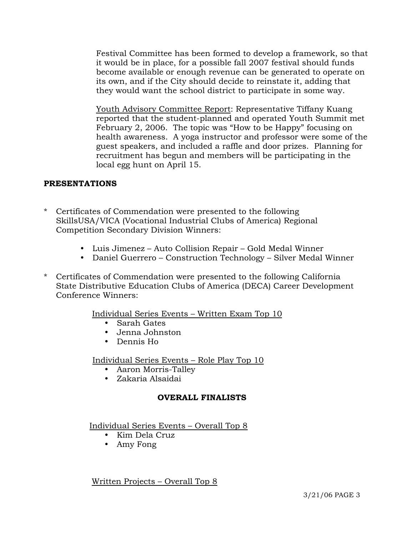Festival Committee has been formed to develop a framework, so that it would be in place, for a possible fall 2007 festival should funds become available or enough revenue can be generated to operate on its own, and if the City should decide to reinstate it, adding that they would want the school district to participate in some way.

Youth Advisory Committee Report: Representative Tiffany Kuang reported that the student-planned and operated Youth Summit met February 2, 2006. The topic was "How to be Happy" focusing on health awareness. A yoga instructor and professor were some of the guest speakers, and included a raffle and door prizes. Planning for recruitment has begun and members will be participating in the local egg hunt on April 15.

# **PRESENTATIONS**

- \* Certificates of Commendation were presented to the following SkillsUSA/VICA (Vocational Industrial Clubs of America) Regional Competition Secondary Division Winners:
	- y Luis Jimenez Auto Collision Repair Gold Medal Winner
	- Daniel Guerrero Construction Technology Silver Medal Winner
- \* Certificates of Commendation were presented to the following California State Distributive Education Clubs of America (DECA) Career Development Conference Winners:

Individual Series Events – Written Exam Top 10

- Sarah Gates
- Jenna Johnston
- Dennis Ho

Individual Series Events – Role Play Top 10

- Aaron Morris-Talley
- Zakaria Alsaidai

# **OVERALL FINALISTS**

Individual Series Events – Overall Top 8

- Kim Dela Cruz
- Amy Fong

Written Projects – Overall Top 8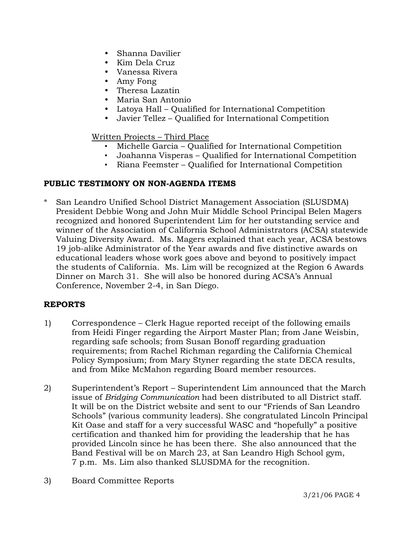- Shanna Davilier
- Kim Dela Cruz
- Vanessa Rivera
- Amy Fong
- Theresa Lazatin
- Maria San Antonio
- Latoya Hall Qualified for International Competition
- Javier Tellez Qualified for International Competition

## Written Projects – Third Place

- Michelle Garcia Qualified for International Competition
- Joahanna Visperas Qualified for International Competition
- Riana Feemster Qualified for International Competition

# **PUBLIC TESTIMONY ON NON-AGENDA ITEMS**

San Leandro Unified School District Management Association (SLUSDMA) President Debbie Wong and John Muir Middle School Principal Belen Magers recognized and honored Superintendent Lim for her outstanding service and winner of the Association of California School Administrators (ACSA) statewide Valuing Diversity Award. Ms. Magers explained that each year, ACSA bestows 19 job-alike Administrator of the Year awards and five distinctive awards on educational leaders whose work goes above and beyond to positively impact the students of California. Ms. Lim will be recognized at the Region 6 Awards Dinner on March 31. She will also be honored during ACSA's Annual Conference, November 2-4, in San Diego.

# **REPORTS**

- 1) Correspondence Clerk Hague reported receipt of the following emails from Heidi Finger regarding the Airport Master Plan; from Jane Weisbin, regarding safe schools; from Susan Bonoff regarding graduation requirements; from Rachel Richman regarding the California Chemical Policy Symposium; from Mary Styner regarding the state DECA results, and from Mike McMahon regarding Board member resources.
- 2) Superintendent's Report Superintendent Lim announced that the March issue of *Bridging Communication* had been distributed to all District staff. It will be on the District website and sent to our "Friends of San Leandro Schools" (various community leaders). She congratulated Lincoln Principal Kit Oase and staff for a very successful WASC and "hopefully" a positive certification and thanked him for providing the leadership that he has provided Lincoln since he has been there. She also announced that the Band Festival will be on March 23, at San Leandro High School gym, 7 p.m. Ms. Lim also thanked SLUSDMA for the recognition.
- 3) Board Committee Reports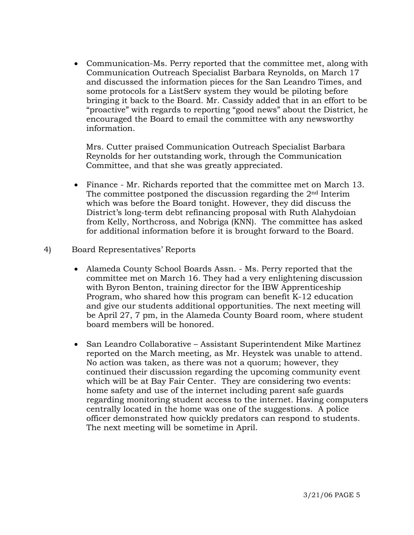• Communication-Ms. Perry reported that the committee met, along with Communication Outreach Specialist Barbara Reynolds, on March 17 and discussed the information pieces for the San Leandro Times, and some protocols for a ListServ system they would be piloting before bringing it back to the Board. Mr. Cassidy added that in an effort to be "proactive" with regards to reporting "good news" about the District, he encouraged the Board to email the committee with any newsworthy information.

 Mrs. Cutter praised Communication Outreach Specialist Barbara Reynolds for her outstanding work, through the Communication Committee, and that she was greatly appreciated.

- Finance Mr. Richards reported that the committee met on March 13. The committee postponed the discussion regarding the 2nd Interim which was before the Board tonight. However, they did discuss the District's long-term debt refinancing proposal with Ruth Alahydoian from Kelly, Northcross, and Nobriga (KNN). The committee has asked for additional information before it is brought forward to the Board.
- 4) Board Representatives' Reports
	- Alameda County School Boards Assn. Ms. Perry reported that the committee met on March 16. They had a very enlightening discussion with Byron Benton, training director for the IBW Apprenticeship Program, who shared how this program can benefit K-12 education and give our students additional opportunities. The next meeting will be April 27, 7 pm, in the Alameda County Board room, where student board members will be honored.
	- San Leandro Collaborative Assistant Superintendent Mike Martinez reported on the March meeting, as Mr. Heystek was unable to attend. No action was taken, as there was not a quorum; however, they continued their discussion regarding the upcoming community event which will be at Bay Fair Center. They are considering two events: home safety and use of the internet including parent safe guards regarding monitoring student access to the internet. Having computers centrally located in the home was one of the suggestions. A police officer demonstrated how quickly predators can respond to students. The next meeting will be sometime in April.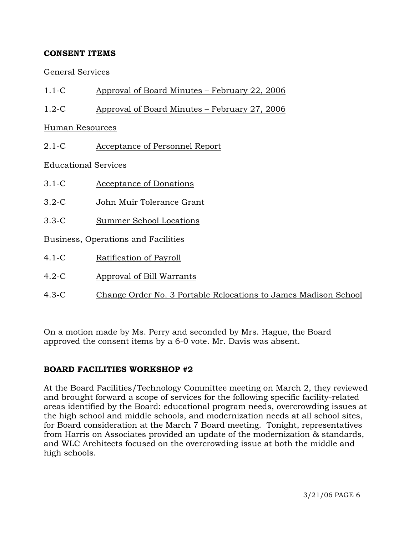# **CONSENT ITEMS**

## General Services

- 1.1-C Approval of Board Minutes February 22, 2006
- 1.2-C Approval of Board Minutes February 27, 2006

Human Resources

2.1-C Acceptance of Personnel Report

Educational Services

- 3.1-C Acceptance of Donations
- 3.2-C John Muir Tolerance Grant
- 3.3-C Summer School Locations

Business, Operations and Facilities

- 4.1-C Ratification of Payroll
- 4.2-C Approval of Bill Warrants
- 4.3-C Change Order No. 3 Portable Relocations to James Madison School

On a motion made by Ms. Perry and seconded by Mrs. Hague, the Board approved the consent items by a 6-0 vote. Mr. Davis was absent.

## **BOARD FACILITIES WORKSHOP #2**

At the Board Facilities/Technology Committee meeting on March 2, they reviewed and brought forward a scope of services for the following specific facility-related areas identified by the Board: educational program needs, overcrowding issues at the high school and middle schools, and modernization needs at all school sites, for Board consideration at the March 7 Board meeting. Tonight, representatives from Harris on Associates provided an update of the modernization & standards, and WLC Architects focused on the overcrowding issue at both the middle and high schools.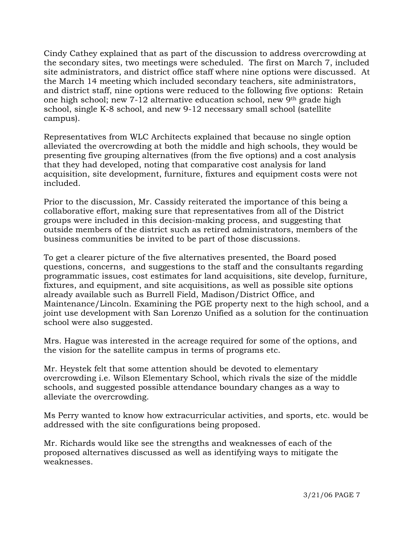Cindy Cathey explained that as part of the discussion to address overcrowding at the secondary sites, two meetings were scheduled. The first on March 7, included site administrators, and district office staff where nine options were discussed. At the March 14 meeting which included secondary teachers, site administrators, and district staff, nine options were reduced to the following five options: Retain one high school; new 7-12 alternative education school, new 9th grade high school, single K-8 school, and new 9-12 necessary small school (satellite campus).

Representatives from WLC Architects explained that because no single option alleviated the overcrowding at both the middle and high schools, they would be presenting five grouping alternatives (from the five options) and a cost analysis that they had developed, noting that comparative cost analysis for land acquisition, site development, furniture, fixtures and equipment costs were not included.

Prior to the discussion, Mr. Cassidy reiterated the importance of this being a collaborative effort, making sure that representatives from all of the District groups were included in this decision-making process, and suggesting that outside members of the district such as retired administrators, members of the business communities be invited to be part of those discussions.

To get a clearer picture of the five alternatives presented, the Board posed questions, concerns, and suggestions to the staff and the consultants regarding programmatic issues, cost estimates for land acquisitions, site develop, furniture, fixtures, and equipment, and site acquisitions, as well as possible site options already available such as Burrell Field, Madison/District Office, and Maintenance/Lincoln. Examining the PGE property next to the high school, and a joint use development with San Lorenzo Unified as a solution for the continuation school were also suggested.

Mrs. Hague was interested in the acreage required for some of the options, and the vision for the satellite campus in terms of programs etc.

Mr. Heystek felt that some attention should be devoted to elementary overcrowding i.e. Wilson Elementary School, which rivals the size of the middle schools, and suggested possible attendance boundary changes as a way to alleviate the overcrowding.

Ms Perry wanted to know how extracurricular activities, and sports, etc. would be addressed with the site configurations being proposed.

Mr. Richards would like see the strengths and weaknesses of each of the proposed alternatives discussed as well as identifying ways to mitigate the weaknesses.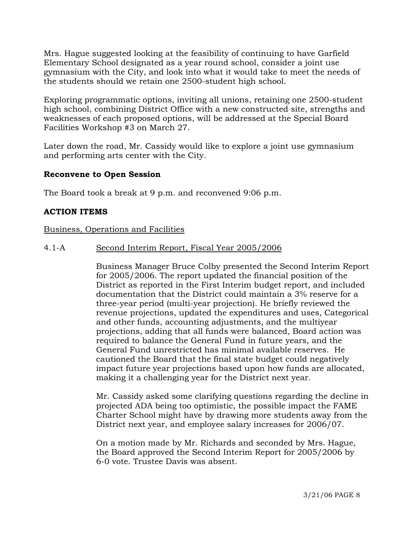Mrs. Hague suggested looking at the feasibility of continuing to have Garfield Elementary School designated as a year round school, consider a joint use gymnasium with the City, and look into what it would take to meet the needs of the students should we retain one 2500-student high school.

Exploring programmatic options, inviting all unions, retaining one 2500-student high school, combining District Office with a new constructed site, strengths and weaknesses of each proposed options, will be addressed at the Special Board Facilities Workshop #3 on March 27.

Later down the road, Mr. Cassidy would like to explore a joint use gymnasium and performing arts center with the City.

## **Reconvene to Open Session**

The Board took a break at 9 p.m. and reconvened 9:06 p.m.

#### **ACTION ITEMS**

#### Business, Operations and Facilities

#### 4.1-A Second Interim Report, Fiscal Year 2005/2006

Business Manager Bruce Colby presented the Second Interim Report for 2005/2006. The report updated the financial position of the District as reported in the First Interim budget report, and included documentation that the District could maintain a 3% reserve for a three-year period (multi-year projection). He briefly reviewed the revenue projections, updated the expenditures and uses, Categorical and other funds, accounting adjustments, and the multiyear projections, adding that all funds were balanced, Board action was required to balance the General Fund in future years, and the General Fund unrestricted has minimal available reserves. He cautioned the Board that the final state budget could negatively impact future year projections based upon how funds are allocated, making it a challenging year for the District next year.

Mr. Cassidy asked some clarifying questions regarding the decline in projected ADA being too optimistic, the possible impact the FAME Charter School might have by drawing more students away from the District next year, and employee salary increases for 2006/07.

On a motion made by Mr. Richards and seconded by Mrs. Hague, the Board approved the Second Interim Report for 2005/2006 by 6-0 vote. Trustee Davis was absent.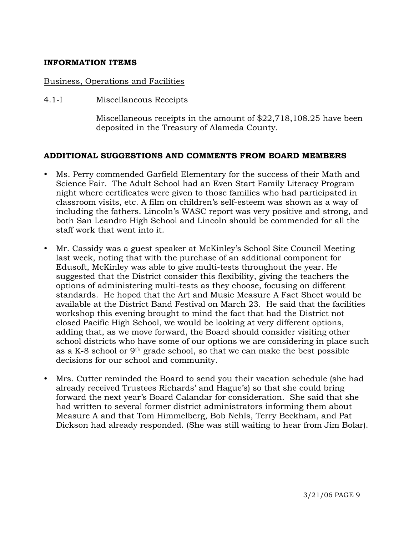### **INFORMATION ITEMS**

#### Business, Operations and Facilities

#### 4.1-I Miscellaneous Receipts

Miscellaneous receipts in the amount of \$22,718,108.25 have been deposited in the Treasury of Alameda County.

#### **ADDITIONAL SUGGESTIONS AND COMMENTS FROM BOARD MEMBERS**

- Ms. Perry commended Garfield Elementary for the success of their Math and Science Fair. The Adult School had an Even Start Family Literacy Program night where certificates were given to those families who had participated in classroom visits, etc. A film on children's self-esteem was shown as a way of including the fathers. Lincoln's WASC report was very positive and strong, and both San Leandro High School and Lincoln should be commended for all the staff work that went into it.
- Mr. Cassidy was a guest speaker at McKinley's School Site Council Meeting last week, noting that with the purchase of an additional component for Edusoft, McKinley was able to give multi-tests throughout the year. He suggested that the District consider this flexibility, giving the teachers the options of administering multi-tests as they choose, focusing on different standards. He hoped that the Art and Music Measure A Fact Sheet would be available at the District Band Festival on March 23. He said that the facilities workshop this evening brought to mind the fact that had the District not closed Pacific High School, we would be looking at very different options, adding that, as we move forward, the Board should consider visiting other school districts who have some of our options we are considering in place such as a K-8 school or 9th grade school, so that we can make the best possible decisions for our school and community.
- Mrs. Cutter reminded the Board to send you their vacation schedule (she had already received Trustees Richards' and Hague's) so that she could bring forward the next year's Board Calandar for consideration. She said that she had written to several former district administrators informing them about Measure A and that Tom Himmelberg, Bob Nehls, Terry Beckham, and Pat Dickson had already responded. (She was still waiting to hear from Jim Bolar).